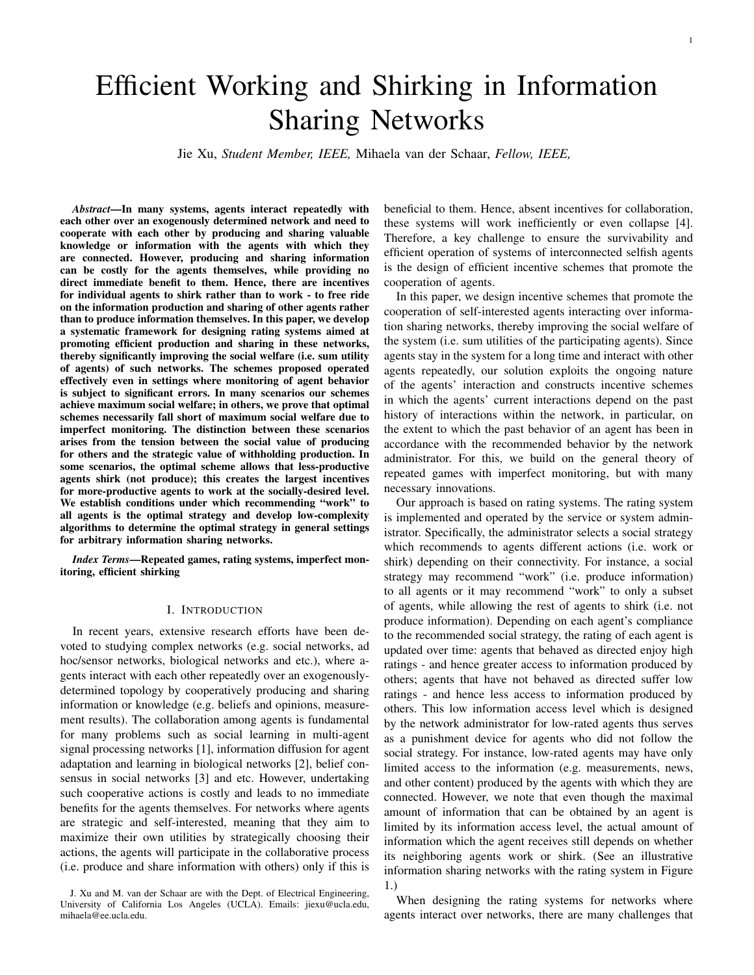# Efficient Working and Shirking in Information Sharing Networks

Jie Xu, *Student Member, IEEE,* Mihaela van der Schaar, *Fellow, IEEE,*

*Abstract*—In many systems, agents interact repeatedly with each other over an exogenously determined network and need to cooperate with each other by producing and sharing valuable knowledge or information with the agents with which they are connected. However, producing and sharing information can be costly for the agents themselves, while providing no direct immediate benefit to them. Hence, there are incentives for individual agents to shirk rather than to work - to free ride on the information production and sharing of other agents rather than to produce information themselves. In this paper, we develop a systematic framework for designing rating systems aimed at promoting efficient production and sharing in these networks, thereby significantly improving the social welfare (i.e. sum utility of agents) of such networks. The schemes proposed operated effectively even in settings where monitoring of agent behavior is subject to significant errors. In many scenarios our schemes achieve maximum social welfare; in others, we prove that optimal schemes necessarily fall short of maximum social welfare due to imperfect monitoring. The distinction between these scenarios arises from the tension between the social value of producing for others and the strategic value of withholding production. In some scenarios, the optimal scheme allows that less-productive agents shirk (not produce); this creates the largest incentives for more-productive agents to work at the socially-desired level. We establish conditions under which recommending "work" to all agents is the optimal strategy and develop low-complexity algorithms to determine the optimal strategy in general settings for arbitrary information sharing networks.

*Index Terms*—Repeated games, rating systems, imperfect monitoring, efficient shirking

#### I. INTRODUCTION

In recent years, extensive research efforts have been devoted to studying complex networks (e.g. social networks, ad hoc/sensor networks, biological networks and etc.), where agents interact with each other repeatedly over an exogenouslydetermined topology by cooperatively producing and sharing information or knowledge (e.g. beliefs and opinions, measurement results). The collaboration among agents is fundamental for many problems such as social learning in multi-agent signal processing networks [1], information diffusion for agent adaptation and learning in biological networks [2], belief consensus in social networks [3] and etc. However, undertaking such cooperative actions is costly and leads to no immediate benefits for the agents themselves. For networks where agents are strategic and self-interested, meaning that they aim to maximize their own utilities by strategically choosing their actions, the agents will participate in the collaborative process (i.e. produce and share information with others) only if this is

beneficial to them. Hence, absent incentives for collaboration, these systems will work inefficiently or even collapse [4]. Therefore, a key challenge to ensure the survivability and efficient operation of systems of interconnected selfish agents is the design of efficient incentive schemes that promote the cooperation of agents.

In this paper, we design incentive schemes that promote the cooperation of self-interested agents interacting over information sharing networks, thereby improving the social welfare of the system (i.e. sum utilities of the participating agents). Since agents stay in the system for a long time and interact with other agents repeatedly, our solution exploits the ongoing nature of the agents' interaction and constructs incentive schemes in which the agents' current interactions depend on the past history of interactions within the network, in particular, on the extent to which the past behavior of an agent has been in accordance with the recommended behavior by the network administrator. For this, we build on the general theory of repeated games with imperfect monitoring, but with many necessary innovations.

Our approach is based on rating systems. The rating system is implemented and operated by the service or system administrator. Specifically, the administrator selects a social strategy which recommends to agents different actions (i.e. work or shirk) depending on their connectivity. For instance, a social strategy may recommend "work" (i.e. produce information) to all agents or it may recommend "work" to only a subset of agents, while allowing the rest of agents to shirk (i.e. not produce information). Depending on each agent's compliance to the recommended social strategy, the rating of each agent is updated over time: agents that behaved as directed enjoy high ratings - and hence greater access to information produced by others; agents that have not behaved as directed suffer low ratings - and hence less access to information produced by others. This low information access level which is designed by the network administrator for low-rated agents thus serves as a punishment device for agents who did not follow the social strategy. For instance, low-rated agents may have only limited access to the information (e.g. measurements, news, and other content) produced by the agents with which they are connected. However, we note that even though the maximal amount of information that can be obtained by an agent is limited by its information access level, the actual amount of information which the agent receives still depends on whether its neighboring agents work or shirk. (See an illustrative information sharing networks with the rating system in Figure 1.)

When designing the rating systems for networks where agents interact over networks, there are many challenges that

J. Xu and M. van der Schaar are with the Dept. of Electrical Engineering, University of California Los Angeles (UCLA). Emails: jiexu@ucla.edu, mihaela@ee.ucla.edu.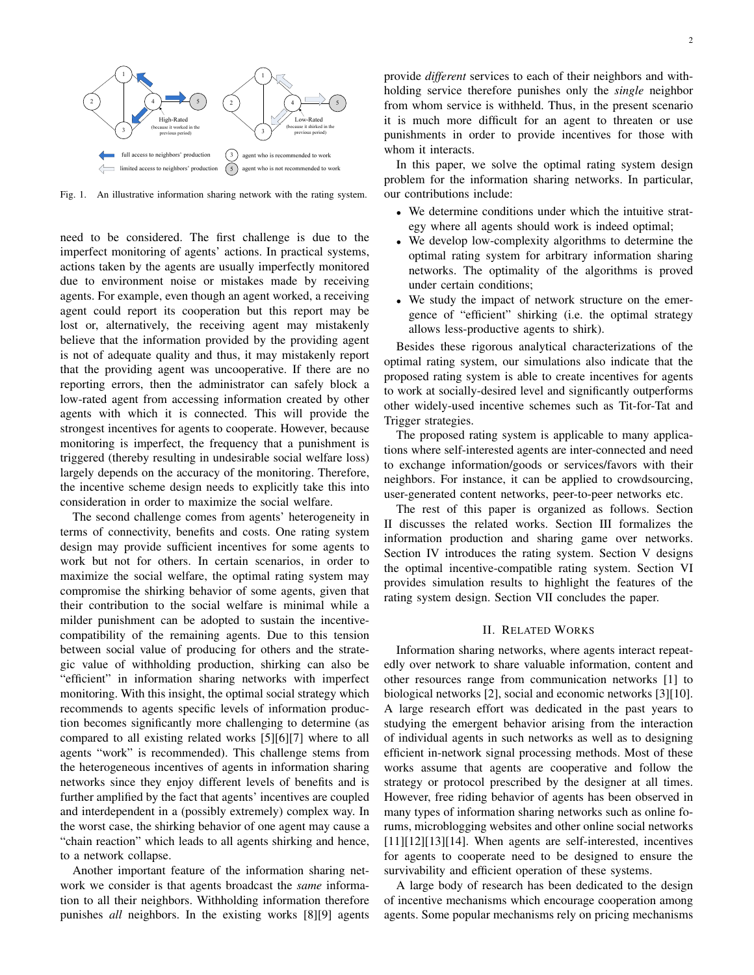

Fig. 1. An illustrative information sharing network with the rating system.

need to be considered. The first challenge is due to the imperfect monitoring of agents' actions. In practical systems, actions taken by the agents are usually imperfectly monitored due to environment noise or mistakes made by receiving agents. For example, even though an agent worked, a receiving agent could report its cooperation but this report may be lost or, alternatively, the receiving agent may mistakenly believe that the information provided by the providing agent is not of adequate quality and thus, it may mistakenly report that the providing agent was uncooperative. If there are no reporting errors, then the administrator can safely block a low-rated agent from accessing information created by other agents with which it is connected. This will provide the strongest incentives for agents to cooperate. However, because monitoring is imperfect, the frequency that a punishment is triggered (thereby resulting in undesirable social welfare loss) largely depends on the accuracy of the monitoring. Therefore, the incentive scheme design needs to explicitly take this into consideration in order to maximize the social welfare.

The second challenge comes from agents' heterogeneity in terms of connectivity, benefits and costs. One rating system design may provide sufficient incentives for some agents to work but not for others. In certain scenarios, in order to maximize the social welfare, the optimal rating system may compromise the shirking behavior of some agents, given that their contribution to the social welfare is minimal while a milder punishment can be adopted to sustain the incentivecompatibility of the remaining agents. Due to this tension between social value of producing for others and the strategic value of withholding production, shirking can also be "efficient" in information sharing networks with imperfect monitoring. With this insight, the optimal social strategy which recommends to agents specific levels of information production becomes significantly more challenging to determine (as compared to all existing related works [5][6][7] where to all agents "work" is recommended). This challenge stems from the heterogeneous incentives of agents in information sharing networks since they enjoy different levels of benefits and is further amplified by the fact that agents' incentives are coupled and interdependent in a (possibly extremely) complex way. In the worst case, the shirking behavior of one agent may cause a "chain reaction" which leads to all agents shirking and hence, to a network collapse.

Another important feature of the information sharing network we consider is that agents broadcast the *same* information to all their neighbors. Withholding information therefore punishes *all* neighbors. In the existing works [8][9] agents provide *different* services to each of their neighbors and withholding service therefore punishes only the *single* neighbor from whom service is withheld. Thus, in the present scenario it is much more difficult for an agent to threaten or use punishments in order to provide incentives for those with whom it interacts.

In this paper, we solve the optimal rating system design problem for the information sharing networks. In particular, our contributions include:

- We determine conditions under which the intuitive strategy where all agents should work is indeed optimal;
- *•* We develop low-complexity algorithms to determine the optimal rating system for arbitrary information sharing networks. The optimality of the algorithms is proved under certain conditions;
- *•* We study the impact of network structure on the emergence of "efficient" shirking (i.e. the optimal strategy allows less-productive agents to shirk).

Besides these rigorous analytical characterizations of the optimal rating system, our simulations also indicate that the proposed rating system is able to create incentives for agents to work at socially-desired level and significantly outperforms other widely-used incentive schemes such as Tit-for-Tat and Trigger strategies.

The proposed rating system is applicable to many applications where self-interested agents are inter-connected and need to exchange information/goods or services/favors with their neighbors. For instance, it can be applied to crowdsourcing, user-generated content networks, peer-to-peer networks etc.

The rest of this paper is organized as follows. Section II discusses the related works. Section III formalizes the information production and sharing game over networks. Section IV introduces the rating system. Section V designs the optimal incentive-compatible rating system. Section VI provides simulation results to highlight the features of the rating system design. Section VII concludes the paper.

## II. RELATED WORKS

Information sharing networks, where agents interact repeatedly over network to share valuable information, content and other resources range from communication networks [1] to biological networks [2], social and economic networks [3][10]. A large research effort was dedicated in the past years to studying the emergent behavior arising from the interaction of individual agents in such networks as well as to designing efficient in-network signal processing methods. Most of these works assume that agents are cooperative and follow the strategy or protocol prescribed by the designer at all times. However, free riding behavior of agents has been observed in many types of information sharing networks such as online forums, microblogging websites and other online social networks [11][12][13][14]. When agents are self-interested, incentives for agents to cooperate need to be designed to ensure the survivability and efficient operation of these systems.

A large body of research has been dedicated to the design of incentive mechanisms which encourage cooperation among agents. Some popular mechanisms rely on pricing mechanisms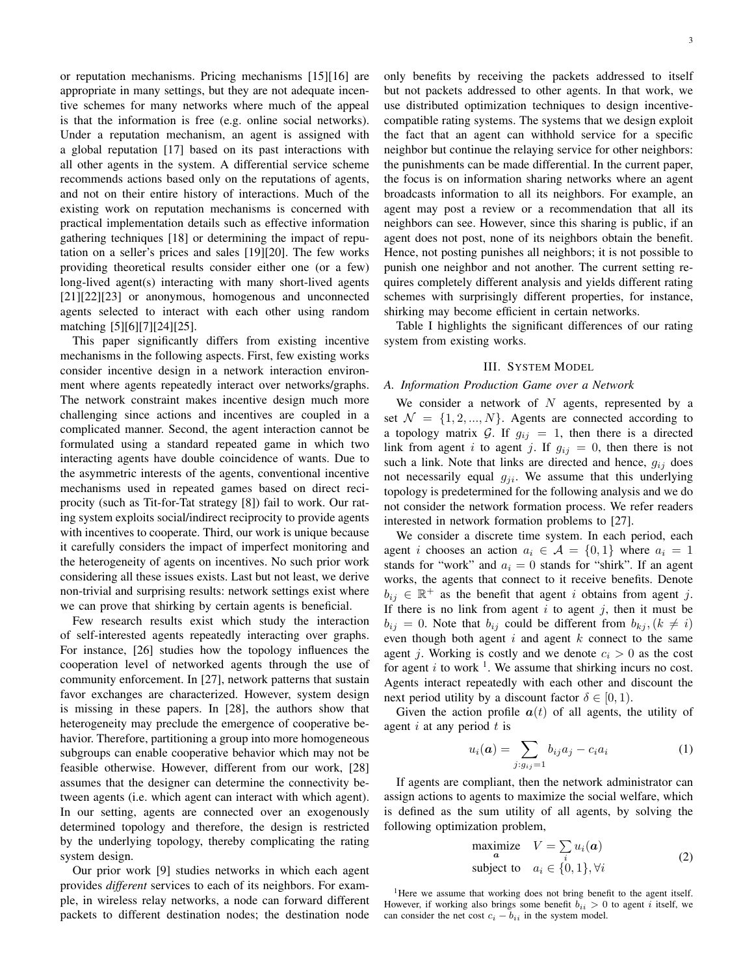or reputation mechanisms. Pricing mechanisms [15][16] are appropriate in many settings, but they are not adequate incentive schemes for many networks where much of the appeal is that the information is free (e.g. online social networks). Under a reputation mechanism, an agent is assigned with a global reputation [17] based on its past interactions with all other agents in the system. A differential service scheme recommends actions based only on the reputations of agents, and not on their entire history of interactions. Much of the existing work on reputation mechanisms is concerned with practical implementation details such as effective information gathering techniques [18] or determining the impact of reputation on a seller's prices and sales [19][20]. The few works providing theoretical results consider either one (or a few) long-lived agent(s) interacting with many short-lived agents [21][22][23] or anonymous, homogenous and unconnected agents selected to interact with each other using random matching [5][6][7][24][25].

This paper significantly differs from existing incentive mechanisms in the following aspects. First, few existing works consider incentive design in a network interaction environment where agents repeatedly interact over networks/graphs. The network constraint makes incentive design much more challenging since actions and incentives are coupled in a complicated manner. Second, the agent interaction cannot be formulated using a standard repeated game in which two interacting agents have double coincidence of wants. Due to the asymmetric interests of the agents, conventional incentive mechanisms used in repeated games based on direct reciprocity (such as Tit-for-Tat strategy [8]) fail to work. Our rating system exploits social/indirect reciprocity to provide agents with incentives to cooperate. Third, our work is unique because it carefully considers the impact of imperfect monitoring and the heterogeneity of agents on incentives. No such prior work considering all these issues exists. Last but not least, we derive non-trivial and surprising results: network settings exist where we can prove that shirking by certain agents is beneficial.

Few research results exist which study the interaction of self-interested agents repeatedly interacting over graphs. For instance, [26] studies how the topology influences the cooperation level of networked agents through the use of community enforcement. In [27], network patterns that sustain favor exchanges are characterized. However, system design is missing in these papers. In [28], the authors show that heterogeneity may preclude the emergence of cooperative behavior. Therefore, partitioning a group into more homogeneous subgroups can enable cooperative behavior which may not be feasible otherwise. However, different from our work, [28] assumes that the designer can determine the connectivity between agents (i.e. which agent can interact with which agent). In our setting, agents are connected over an exogenously determined topology and therefore, the design is restricted by the underlying topology, thereby complicating the rating system design.

Our prior work [9] studies networks in which each agent provides *different* services to each of its neighbors. For example, in wireless relay networks, a node can forward different packets to different destination nodes; the destination node

only benefits by receiving the packets addressed to itself but not packets addressed to other agents. In that work, we use distributed optimization techniques to design incentivecompatible rating systems. The systems that we design exploit the fact that an agent can withhold service for a specific neighbor but continue the relaying service for other neighbors: the punishments can be made differential. In the current paper, the focus is on information sharing networks where an agent broadcasts information to all its neighbors. For example, an agent may post a review or a recommendation that all its neighbors can see. However, since this sharing is public, if an agent does not post, none of its neighbors obtain the benefit. Hence, not posting punishes all neighbors; it is not possible to punish one neighbor and not another. The current setting requires completely different analysis and yields different rating schemes with surprisingly different properties, for instance, shirking may become efficient in certain networks.

Table I highlights the significant differences of our rating system from existing works.

## III. SYSTEM MODEL

## *A. Information Production Game over a Network*

We consider a network of *N* agents, represented by a set  $\mathcal{N} = \{1, 2, ..., N\}$ . Agents are connected according to a topology matrix  $G$ . If  $g_{ij} = 1$ , then there is a directed link from agent *i* to agent *j*. If  $g_{ij} = 0$ , then there is not such a link. Note that links are directed and hence, *gij* does not necessarily equal *gji*. We assume that this underlying topology is predetermined for the following analysis and we do not consider the network formation process. We refer readers interested in network formation problems to [27].

We consider a discrete time system. In each period, each agent *i* chooses an action  $a_i \in \mathcal{A} = \{0, 1\}$  where  $a_i = 1$ stands for "work" and  $a_i = 0$  stands for "shirk". If an agent works, the agents that connect to it receive benefits. Denote  $b_{ij} \in \mathbb{R}^+$  as the benefit that agent *i* obtains from agent *j*. If there is no link from agent  $i$  to agent  $j$ , then it must be  $b_{ij} = 0$ . Note that  $b_{ij}$  could be different from  $b_{kj}$ ,  $(k \neq i)$ even though both agent *i* and agent *k* connect to the same agent *j*. Working is costly and we denote  $c_i > 0$  as the cost for agent  $i$  to work  $\frac{1}{i}$ . We assume that shirking incurs no cost. Agents interact repeatedly with each other and discount the next period utility by a discount factor  $\delta \in [0, 1)$ .

Given the action profile  $a(t)$  of all agents, the utility of agent *i* at any period *t* is

$$
u_i(\boldsymbol{a}) = \sum_{j:g_{ij}=1} b_{ij} a_j - c_i a_i \tag{1}
$$

If agents are compliant, then the network administrator can assign actions to agents to maximize the social welfare, which is defined as the sum utility of all agents, by solving the following optimization problem,

maximize 
$$
V = \sum_{i} u_i(a)
$$
  
subject to  $a_i \in \{0, 1\}, \forall i$  (2)

<sup>1</sup>Here we assume that working does not bring benefit to the agent itself. However, if working also brings some benefit  $b_{ii} > 0$  to agent *i* itself, we can consider the net cost  $c_i - b_{ii}$  in the system model.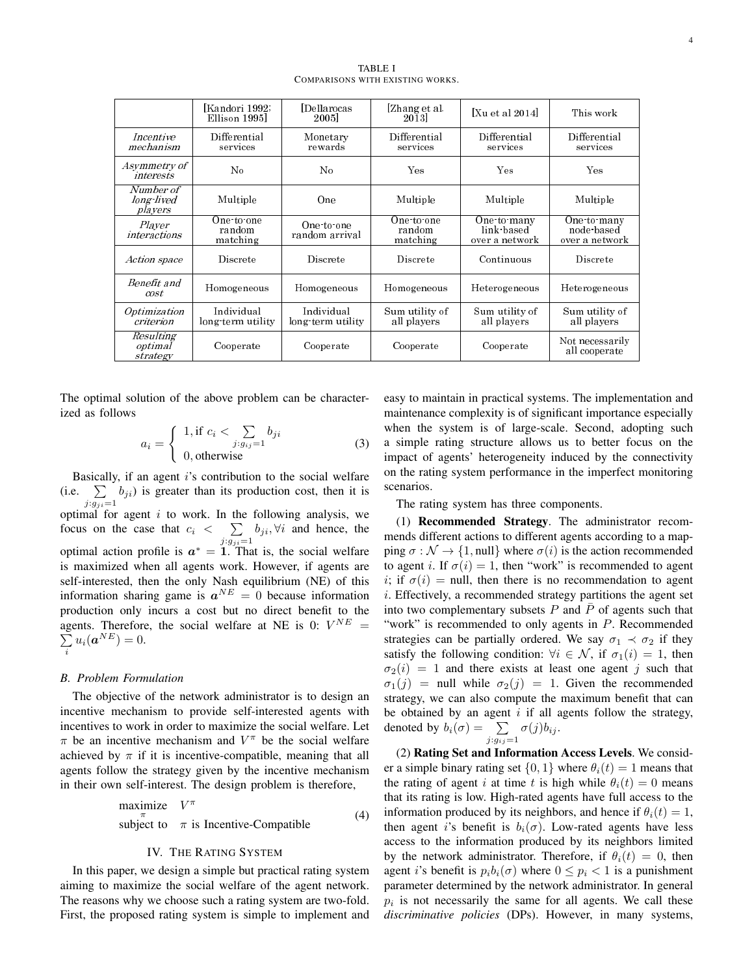|                                           | [Kandori 1992;<br>Ellison 1995   | Dellarocas<br>2005 <sub>1</sub> | Zhang et al.<br>2013             | [Xu et al 2014]                             | This work                                   |
|-------------------------------------------|----------------------------------|---------------------------------|----------------------------------|---------------------------------------------|---------------------------------------------|
| <i>Incentive</i><br>mechanism             | Differential<br>services         | Monetary<br>rewards             | Differential<br>services         | Differential<br>services                    | Differential<br>services                    |
| Asymmetry of<br>interests                 | No                               | No.                             | Yes                              | Yes                                         | Yes                                         |
| Number of<br>long lived<br><i>players</i> | Multiple                         | One                             | Multiple                         | Multiple                                    | Multiple                                    |
| Player<br><i>interactions</i>             | One to one<br>random<br>matching | One to one<br>random arrival    | One to one<br>random<br>matching | One to many<br>link based<br>over a network | One to many<br>node based<br>over a network |
| <i>Action space</i>                       | Discrete                         | Discrete                        | Discrete                         | Continuous                                  | Discrete                                    |
| Benefit and<br>cost                       | Homogeneous                      | Homogeneous                     | Homogeneous                      | Heterogeneous                               | Heterogeneous                               |
| <i>Optimization</i><br>criterion          | Individual<br>long term utility  | Individual<br>long term utility | Sum utility of<br>all players    | Sum utility of<br>all players               | Sum utility of<br>all players               |
| Resulting<br><i>optimal</i><br>strategy   | Cooperate                        | Cooperate                       | Cooperate                        | Cooperate                                   | Not necessarily<br>all cooperate            |

TABLE I COMPARISONS WITH EXISTING WORKS.

The optimal solution of the above problem can be characterized as follows

$$
a_i = \begin{cases} 1, \text{if } c_i < \sum_{j:g_{ij}=1} b_{ji} \\ 0, \text{otherwise} \end{cases}
$$
 (3)

Basically, if an agent *i*'s contribution to the social welfare (i.e.  $\sum_{j} b_{ji}$ ) is greater than its production cost, then it is  $j: g_{ji} = 1$ optimal for agent *i* to work. In the following analysis, we focus on the case that  $c_i < \sum b_{ji}$ ,  $\forall i$  and hence, the optimal action profile is  $a^* = 1$ . That is, the social welfare is maximized when all agents work. However, if agents are self-interested, then the only Nash equilibrium (NE) of this information sharing game is  $a^{NE} = 0$  because information production only incurs a cost but no direct benefit to the agents. Therefore, the social welfare at NE is 0:  $V^{NE}$  = ∑  $\sum_{i} u_i(\boldsymbol{a}^{NE}) = 0.$ 

#### *B. Problem Formulation*

The objective of the network administrator is to design an incentive mechanism to provide self-interested agents with incentives to work in order to maximize the social welfare. Let *π* be an incentive mechanism and *V <sup>π</sup>* be the social welfare achieved by  $\pi$  if it is incentive-compatible, meaning that all agents follow the strategy given by the incentive mechanism in their own self-interest. The design problem is therefore,

maximize 
$$
V^{\pi}
$$
  
subject to  $\pi$  is Incentive-Computible (4)

# IV. THE RATING SYSTEM

In this paper, we design a simple but practical rating system aiming to maximize the social welfare of the agent network. The reasons why we choose such a rating system are two-fold. First, the proposed rating system is simple to implement and easy to maintain in practical systems. The implementation and maintenance complexity is of significant importance especially when the system is of large-scale. Second, adopting such a simple rating structure allows us to better focus on the impact of agents' heterogeneity induced by the connectivity on the rating system performance in the imperfect monitoring scenarios.

The rating system has three components.

(1) Recommended Strategy. The administrator recommends different actions to different agents according to a mapping  $\sigma : \mathcal{N} \to \{1, \text{null}\}$  where  $\sigma(i)$  is the action recommended to agent *i*. If  $\sigma(i) = 1$ , then "work" is recommended to agent *i*; if  $\sigma(i)$  = null, then there is no recommendation to agent *i*. Effectively, a recommended strategy partitions the agent set into two complementary subsets  $P$  and  $\overline{P}$  of agents such that "work" is recommended to only agents in *P*. Recommended strategies can be partially ordered. We say  $\sigma_1 \prec \sigma_2$  if they satisfy the following condition:  $\forall i \in \mathcal{N}$ , if  $\sigma_1(i) = 1$ , then  $\sigma_2(i) = 1$  and there exists at least one agent *j* such that  $\sigma_1(j)$  = null while  $\sigma_2(j)$  = 1. Given the recommended strategy, we can also compute the maximum benefit that can be obtained by an agent *i* if all agents follow the strategy, denoted by  $b_i(\sigma) = \sum_{j:g_{ij}=1} \sigma(j)b_{ij}$ .

(2) Rating Set and Information Access Levels. We consider a simple binary rating set  $\{0, 1\}$  where  $\theta_i(t) = 1$  means that the rating of agent *i* at time *t* is high while  $\theta_i(t) = 0$  means that its rating is low. High-rated agents have full access to the information produced by its neighbors, and hence if  $\theta_i(t) = 1$ , then agent *i*'s benefit is  $b_i(\sigma)$ . Low-rated agents have less access to the information produced by its neighbors limited by the network administrator. Therefore, if  $\theta_i(t) = 0$ , then agent *i*'s benefit is  $p_i b_i(\sigma)$  where  $0 \leq p_i < 1$  is a punishment parameter determined by the network administrator. In general  $p_i$  is not necessarily the same for all agents. We call these *discriminative policies* (DPs). However, in many systems,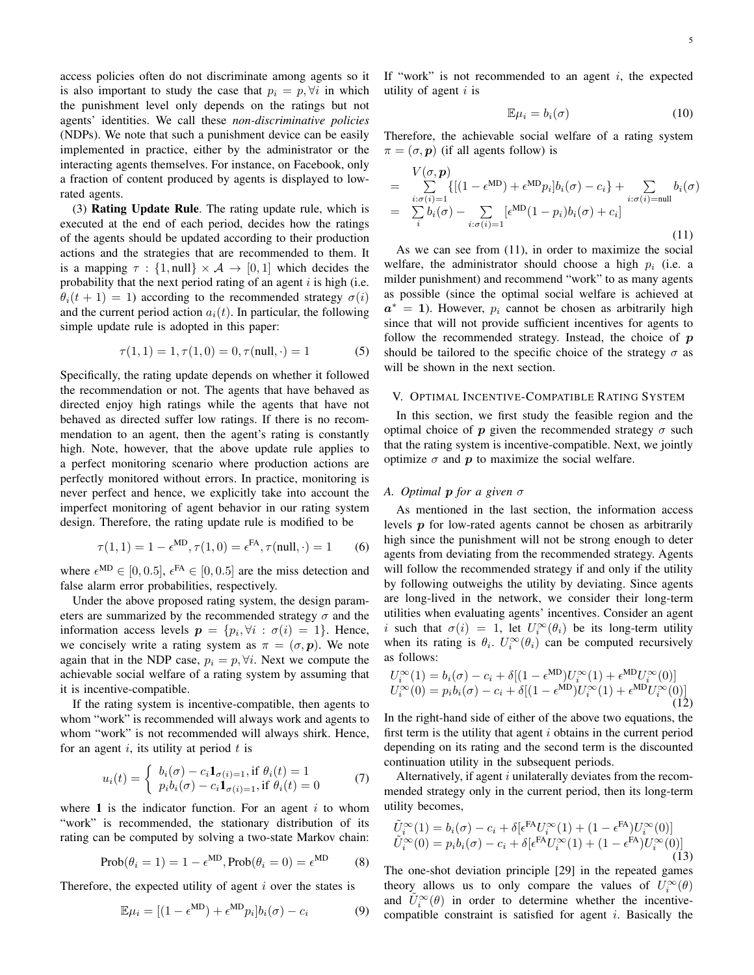access policies often do not discriminate among agents so it is also important to study the case that  $p_i = p, \forall i$  in which the punishment level only depends on the ratings but not agents' identities. We call these *non-discriminative policies* (NDPs). We note that such a punishment device can be easily implemented in practice, either by the administrator or the interacting agents themselves. For instance, on Facebook, only a fraction of content produced by agents is displayed to lowrated agents.

(3) Rating Update Rule. The rating update rule, which is executed at the end of each period, decides how the ratings of the agents should be updated according to their production actions and the strategies that are recommended to them. It is a mapping  $\tau : \{1, \text{null}\} \times \mathcal{A} \rightarrow [0, 1]$  which decides the probability that the next period rating of an agent *i* is high (i.e.  $\theta_i(t+1) = 1$ ) according to the recommended strategy  $\sigma(i)$ and the current period action  $a_i(t)$ . In particular, the following simple update rule is adopted in this paper:

$$
\tau(1,1) = 1, \tau(1,0) = 0, \tau(\text{null}, \cdot) = 1 \tag{5}
$$

Specifically, the rating update depends on whether it followed the recommendation or not. The agents that have behaved as directed enjoy high ratings while the agents that have not behaved as directed suffer low ratings. If there is no recommendation to an agent, then the agent's rating is constantly high. Note, however, that the above update rule applies to a perfect monitoring scenario where production actions are perfectly monitored without errors. In practice, monitoring is never perfect and hence, we explicitly take into account the imperfect monitoring of agent behavior in our rating system design. Therefore, the rating update rule is modified to be

$$
\tau(1,1) = 1 - \epsilon^{\text{MD}}, \tau(1,0) = \epsilon^{\text{FA}}, \tau(\text{null}, \cdot) = 1 \tag{6}
$$

where  $\epsilon^{MD} \in [0, 0.5]$ ,  $\epsilon^{FA} \in [0, 0.5]$  are the miss detection and false alarm error probabilities, respectively.

Under the above proposed rating system, the design parameters are summarized by the recommended strategy  $\sigma$  and the information access levels  $p = \{p_i, \forall i : \sigma(i) = 1\}$ . Hence, we concisely write a rating system as  $\pi = (\sigma, \mathbf{p})$ . We note again that in the NDP case,  $p_i = p, \forall i$ . Next we compute the achievable social welfare of a rating system by assuming that it is incentive-compatible.

If the rating system is incentive-compatible, then agents to whom "work" is recommended will always work and agents to whom "work" is not recommended will always shirk. Hence, for an agent *i*, its utility at period *t* is

$$
u_i(t) = \begin{cases} b_i(\sigma) - c_i \mathbf{1}_{\sigma(i)=1}, \text{if } \theta_i(t) = 1\\ p_i b_i(\sigma) - c_i \mathbf{1}_{\sigma(i)=1}, \text{if } \theta_i(t) = 0 \end{cases}
$$
 (7)

where 1 is the indicator function. For an agent *i* to whom "work" is recommended, the stationary distribution of its rating can be computed by solving a two-state Markov chain:

MD

$$
Prob(\theta_i = 1) = 1 - \epsilon^{MD}, Prob(\theta_i = 0) = \epsilon^{MD}
$$
 (8)

Therefore, the expected utility of agent *i* over the states is

$$
\mathbb{E}\mu_i = [(1 - \epsilon^{\text{MD}}) + \epsilon^{\text{MD}}p_i]b_i(\sigma) - c_i \tag{9}
$$

If "work" is not recommended to an agent *i*, the expected utility of agent *i* is

$$
\mathbb{E}\mu_i = b_i(\sigma) \tag{10}
$$

Therefore, the achievable social welfare of a rating system  $\pi = (\sigma, \mathbf{p})$  (if all agents follow) is

$$
= \sum_{i:\sigma(i)=1}^{V(\sigma,\mathbf{p})} \{[(1-\epsilon^{MD})+\epsilon^{MD}p_i]b_i(\sigma)-c_i\}+\sum_{i:\sigma(i)=null} b_i(\sigma)
$$

$$
= \sum_{i}^{V(\sigma(i)=1} b_i(\sigma)-\sum_{i:\sigma(i)=1} [\epsilon^{MD}(1-p_i)b_i(\sigma)+c_i]
$$
(11)

As we can see from (11), in order to maximize the social welfare, the administrator should choose a high *p<sup>i</sup>* (i.e. a milder punishment) and recommend "work" to as many agents as possible (since the optimal social welfare is achieved at  $a^* = 1$ ). However,  $p_i$  cannot be chosen as arbitrarily high since that will not provide sufficient incentives for agents to follow the recommended strategy. Instead, the choice of *p* should be tailored to the specific choice of the strategy  $\sigma$  as will be shown in the next section.

## V. OPTIMAL INCENTIVE-COMPATIBLE RATING SYSTEM

In this section, we first study the feasible region and the optimal choice of  $p$  given the recommended strategy  $\sigma$  such that the rating system is incentive-compatible. Next, we jointly optimize  $\sigma$  and  $p$  to maximize the social welfare.

# *A. Optimal p for a given σ*

As mentioned in the last section, the information access levels *p* for low-rated agents cannot be chosen as arbitrarily high since the punishment will not be strong enough to deter agents from deviating from the recommended strategy. Agents will follow the recommended strategy if and only if the utility by following outweighs the utility by deviating. Since agents are long-lived in the network, we consider their long-term utilities when evaluating agents' incentives. Consider an agent *i* such that  $\sigma(i) = 1$ , let  $U_i^{\infty}(\theta_i)$  be its long-term utility when its rating is  $\theta_i$ .  $U_i^{\infty}(\theta_i)$  can be computed recursively as follows:

$$
U_i^{\infty}(1) = b_i(\sigma) - c_i + \delta[(1 - \epsilon^{MD})U_i^{\infty}(1) + \epsilon^{MD}U_i^{\infty}(0)]
$$
  
\n
$$
U_i^{\infty}(0) = p_i b_i(\sigma) - c_i + \delta[(1 - \epsilon^{MD})U_i^{\infty}(1) + \epsilon^{MD}U_i^{\infty}(0)]
$$
\n(12)

In the right-hand side of either of the above two equations, the first term is the utility that agent *i* obtains in the current period depending on its rating and the second term is the discounted continuation utility in the subsequent periods.

Alternatively, if agent *i* unilaterally deviates from the recommended strategy only in the current period, then its long-term utility becomes,

$$
\tilde{U}_i^{\infty}(1) = b_i(\sigma) - c_i + \delta[\epsilon^{\text{FA}} U_i^{\infty}(1) + (1 - \epsilon^{\text{FA}})U_i^{\infty}(0)]
$$
\n
$$
\tilde{U}_i^{\infty}(0) = p_i b_i(\sigma) - c_i + \delta[\epsilon^{\text{FA}} U_i^{\infty}(1) + (1 - \epsilon^{\text{FA}})U_i^{\infty}(0)]
$$
\n(13)

The one-shot deviation principle [29] in the repeated games theory allows us to only compare the values of  $U_i^{\infty}(\theta)$ and  $\tilde{U}_i^{\infty}(\theta)$  in order to determine whether the incentivecompatible constraint is satisfied for agent *i*. Basically the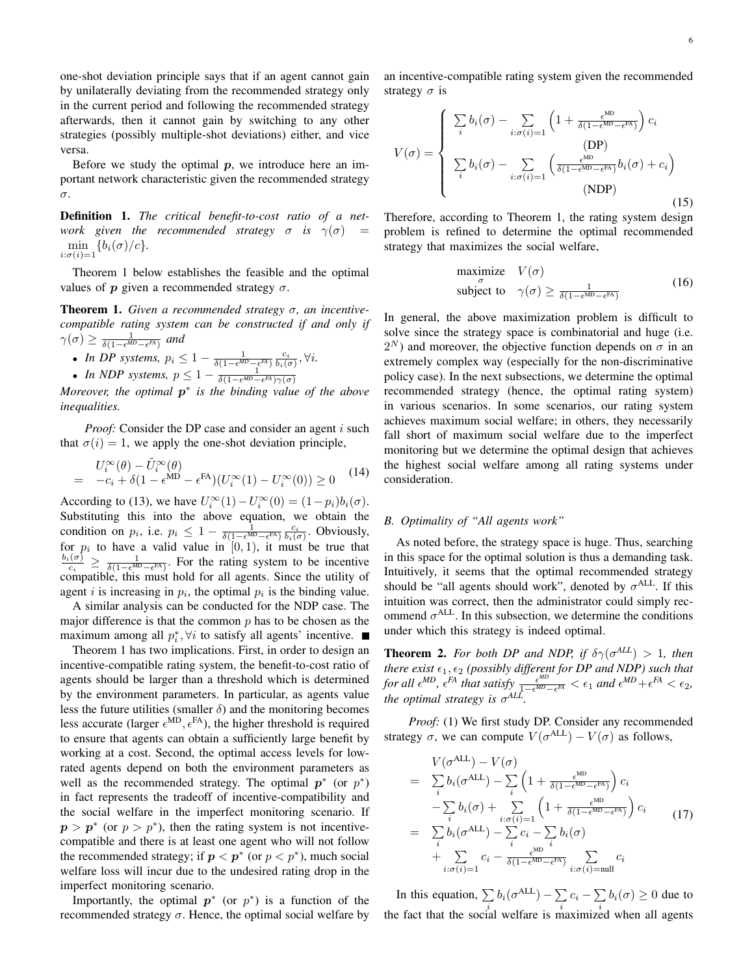one-shot deviation principle says that if an agent cannot gain by unilaterally deviating from the recommended strategy only in the current period and following the recommended strategy afterwards, then it cannot gain by switching to any other strategies (possibly multiple-shot deviations) either, and vice versa.

Before we study the optimal *p*, we introduce here an important network characteristic given the recommended strategy *σ*.

Definition 1. *The critical benefit-to-cost ratio of a network* given the recommended strategy  $\sigma$  *is*  $\gamma(\sigma)$  =  $\min_{i:\sigma(i)=1} \{b_i(\sigma)/c\}.$ 

Theorem 1 below establishes the feasible and the optimal values of  $p$  given a recommended strategy  $\sigma$ .

Theorem 1. *Given a recommended strategy σ, an incentivecompatible rating system can be constructed if and only if*  $\gamma(\sigma) \ge \frac{1}{\delta(1 - \epsilon^{MD} - \epsilon^{FA})}$  and

\n- In DP systems, 
$$
p_i \leq 1 - \frac{1}{\delta(1 - \epsilon^{MD} - \epsilon^{FA})} \frac{c_i}{b_i(\sigma)}, \forall i
$$
.
\n- In NDP systems,  $p \leq 1 - \frac{1}{\delta(1 - \epsilon^{MD} - \epsilon^{FA}) \gamma(\sigma)}$
\n

*Moreover, the optimal p ∗ is the binding value of the above inequalities.*

*Proof:* Consider the DP case and consider an agent *i* such that  $\sigma(i) = 1$ , we apply the one-shot deviation principle,

$$
U_i^{\infty}(\theta) - \tilde{U}_i^{\infty}(\theta)
$$
  
=  $-c_i + \delta(1 - \epsilon^{MD} - \epsilon^{FA})(U_i^{\infty}(1) - U_i^{\infty}(0)) \ge 0$  (14)

According to (13), we have  $U_i^{\infty}(1) - U_i^{\infty}(0) = (1 - p_i) b_i(\sigma)$ . Substituting this into the above equation, we obtain the condition on *p<sub>i</sub>*, i.e.  $p_i \leq 1 - \frac{1}{\delta(1 - \epsilon^{MD} - \epsilon^{FA})} \frac{c_i}{b_i(\sigma)}$ . Obviously, for  $p_i$  to have a valid value in  $[0, 1)$ , it must be true that  $b_i(\sigma)$  $\frac{a}{c_i} \geq \frac{1}{\delta(1 - \epsilon^{MD} - \epsilon^{FA})}$ . For the rating system to be incentive compatible, this must hold for all agents. Since the utility of agent *i* is increasing in  $p_i$ , the optimal  $p_i$  is the binding value.

A similar analysis can be conducted for the NDP case. The major difference is that the common *p* has to be chosen as the maximum among all  $p_i^*$ ,  $\forall i$  to satisfy all agents' incentive.

Theorem 1 has two implications. First, in order to design an incentive-compatible rating system, the benefit-to-cost ratio of agents should be larger than a threshold which is determined by the environment parameters. In particular, as agents value less the future utilities (smaller  $\delta$ ) and the monitoring becomes less accurate (larger  $\epsilon^{MD}$ ,  $\epsilon^{FA}$ ), the higher threshold is required to ensure that agents can obtain a sufficiently large benefit by working at a cost. Second, the optimal access levels for lowrated agents depend on both the environment parameters as well as the recommended strategy. The optimal  $p^*$  (or  $p^*$ ) in fact represents the tradeoff of incentive-compatibility and the social welfare in the imperfect monitoring scenario. If  $p > p^*$  (or  $p > p^*$ ), then the rating system is not incentivecompatible and there is at least one agent who will not follow the recommended strategy; if  $p < p^*$  (or  $p < p^*$ ), much social welfare loss will incur due to the undesired rating drop in the imperfect monitoring scenario.

Importantly, the optimal  $p^*$  (or  $p^*$ ) is a function of the recommended strategy  $\sigma$ . Hence, the optimal social welfare by an incentive-compatible rating system given the recommended strategy  $\sigma$  is

$$
V(\sigma) = \begin{cases} \sum_{i} b_{i}(\sigma) - \sum_{i:\sigma(i)=1} \left(1 + \frac{\epsilon^{\text{MD}}}{\delta(1 - \epsilon^{\text{MD}} - \epsilon^{\text{FA}})}\right) c_{i} \\ \sum_{i} b_{i}(\sigma) - \sum_{i:\sigma(i)=1} \left(\frac{\epsilon^{\text{MD}}}{\delta(1 - \epsilon^{\text{MD}} - \epsilon^{\text{FA}})} b_{i}(\sigma) + c_{i}\right) \\ \text{(NDP)} \end{cases}
$$

Therefore, according to Theorem 1, the rating system design problem is refined to determine the optimal recommended strategy that maximizes the social welfare,

maximize 
$$
V(\sigma)
$$
  
subject to  $\gamma(\sigma) \ge \frac{1}{\delta(1 - \epsilon^{MD} - \epsilon^{FA})}$  (16)

In general, the above maximization problem is difficult to solve since the strategy space is combinatorial and huge (i.e.  $2^N$ ) and moreover, the objective function depends on  $\sigma$  in an extremely complex way (especially for the non-discriminative policy case). In the next subsections, we determine the optimal recommended strategy (hence, the optimal rating system) in various scenarios. In some scenarios, our rating system achieves maximum social welfare; in others, they necessarily fall short of maximum social welfare due to the imperfect monitoring but we determine the optimal design that achieves the highest social welfare among all rating systems under consideration.

# *B. Optimality of "All agents work"*

As noted before, the strategy space is huge. Thus, searching in this space for the optimal solution is thus a demanding task. Intuitively, it seems that the optimal recommended strategy should be "all agents should work", denoted by  $\sigma^{\text{ALL}}$ . If this intuition was correct, then the administrator could simply recommend  $\sigma^{\text{ALL}}$ . In this subsection, we determine the conditions under which this strategy is indeed optimal.

**Theorem 2.** For both DP and NDP, if  $\delta \gamma(\sigma^{ALL}) > 1$ , then *there exist ϵ*1*, ϵ*<sup>2</sup> *(possibly different for DP and NDP) such that for all*  $\epsilon^{MD}$ *,*  $\epsilon^{FA}$  *that satisfy*  $\frac{\epsilon^{MD}}{1-\epsilon^{MD}}$ .  $\frac{\epsilon^{MD}}{1-\epsilon^{MD}-\epsilon^{FA}} < \epsilon_1$  and  $\epsilon^{MD}+\epsilon^{FA} < \epsilon_2$ , *the optimal strategy is σ ALL .*

*Proof:* (1) We first study DP. Consider any recommended strategy  $\sigma$ , we can compute  $V(\sigma^{\text{ALL}}) - V(\sigma)$  as follows,

$$
V(\sigma^{\text{ALL}}) - V(\sigma)
$$
\n
$$
= \sum_{i} b_{i}(\sigma^{\text{ALL}}) - \sum_{i} \left(1 + \frac{\epsilon^{\text{MD}}}{\delta(1 - \epsilon^{\text{MD}} - \epsilon^{\text{FA}})}\right) c_{i}
$$
\n
$$
- \sum_{i} b_{i}(\sigma) + \sum_{i:\sigma(i)=1} \left(1 + \frac{\epsilon^{\text{MD}}}{\delta(1 - \epsilon^{\text{MD}} - \epsilon^{\text{FA}})}\right) c_{i}
$$
\n
$$
= \sum_{i} b_{i}(\sigma^{\text{ALL}}) - \sum_{i} c_{i} - \sum_{i} b_{i}(\sigma)
$$
\n
$$
+ \sum_{i:\sigma(i)=1} c_{i} - \frac{\epsilon^{\text{MD}}}{\delta(1 - \epsilon^{\text{MD}} - \epsilon^{\text{FA}})} \sum_{i:\sigma(i)=\text{null}} c_{i}
$$
\n(17)

In this equation,  $\sum b_i(\sigma^{ALL}) - \sum c_i - \sum b_i(\sigma) \ge 0$  due to the fact that the social welfare is maximized when all agents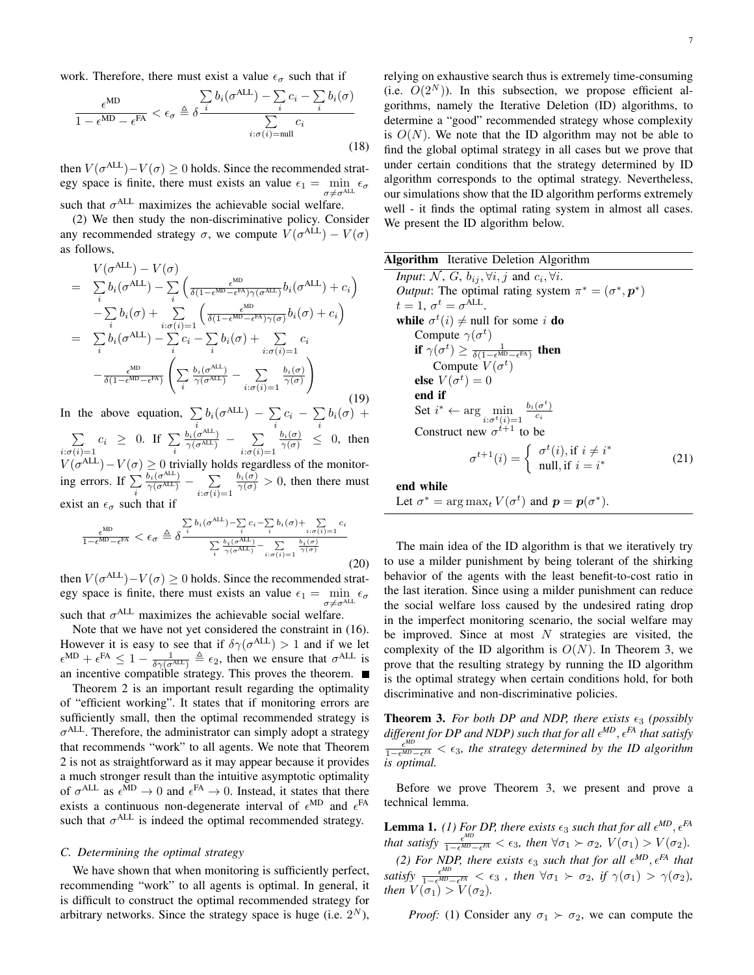work. Therefore, there must exist a value  $\epsilon_{\sigma}$  such that if

$$
\frac{\epsilon^{\text{MD}}}{1 - \epsilon^{\text{MD}} - \epsilon^{\text{FA}}} < \epsilon_{\sigma} \triangleq \delta \frac{\sum\limits_{i} b_{i}(\sigma^{\text{ALL}}) - \sum\limits_{i} c_{i} - \sum\limits_{i} b_{i}(\sigma)}{\sum\limits_{i:\sigma(i) = \text{null}} c_{i}} \tag{18}
$$

then  $V(\sigma^{\text{ALL}}) - V(\sigma) \ge 0$  holds. Since the recommended strategy space is finite, there must exists an value  $\epsilon_1 = \min_{\sigma \neq \sigma^{\text{ALL}}} \epsilon_\sigma$ such that  $\sigma^{\text{ALL}}$  maximizes the achievable social welfare.

(2) We then study the non-discriminative policy. Consider any recommended strategy  $\sigma$ , we compute  $V(\sigma^{\text{ALL}}) - V(\sigma)$ as follows,

$$
V(\sigma^{ALL}) - V(\sigma)
$$
\n
$$
= \sum_{i} b_{i}(\sigma^{ALL}) - \sum_{i} \left( \frac{\epsilon^{MD}}{\delta(1 - \epsilon^{MD} - \epsilon^{FA})\gamma(\sigma^{ALL})} b_{i}(\sigma^{ALL}) + c_{i} \right)
$$
\n
$$
- \sum_{i} b_{i}(\sigma) + \sum_{i:\sigma(i)=1} \left( \frac{\epsilon^{MD}}{\delta(1 - \epsilon^{MD} - \epsilon^{FA})\gamma(\sigma)} b_{i}(\sigma) + c_{i} \right)
$$
\n
$$
= \sum_{i} b_{i}(\sigma^{ALL}) - \sum_{i} c_{i} - \sum_{i} b_{i}(\sigma) + \sum_{i:\sigma(i)=1} c_{i}
$$
\n
$$
- \frac{\epsilon^{MD}}{\delta(1 - \epsilon^{MD} - \epsilon^{FA})} \left( \sum_{i} \frac{b_{i}(\sigma^{ALL})}{\gamma(\sigma^{ALL})} - \sum_{i:\sigma(i)=1} \frac{b_{i}(\sigma)}{\gamma(\sigma)} \right)
$$
\n(19)

In the above equation,  $\sum_{i} b_i(\sigma^{\text{ALL}}) - \sum_{i}$  $\sum_{i} c_i - \sum_{i}$  $\sum_i b_i(\sigma) +$ ∑  $\sum_{i:\sigma(i)=1} c_i \geq 0$ . If  $\sum_i$  $\frac{b_i(\sigma^{\text{ALL}})}{\gamma(\sigma^{\text{ALL}})}$  *−* ∑  $i:\sigma(i)=1$  $\frac{b_i(\sigma)}{\gamma(\sigma)} \leq 0$ , then  $V(\sigma^{\text{ALL}}) - V(\sigma) \geq 0$  trivially holds regardless of the monitoring errors. If  $\sum_i$  $\frac{b_i(\sigma^{\mathrm{ALL}})}{\gamma(\sigma^{\mathrm{ALL}})} - \sum$  $i:\sigma(i)=1$  $\frac{b_i(\sigma)}{\gamma(\sigma)} > 0$ , then there must exist an  $\epsilon_{\sigma}$  such that if

$$
\frac{\epsilon^{\text{MD}}}{1 - \epsilon^{\text{MD}} - \epsilon^{\text{FA}}} < \epsilon_{\sigma} \triangleq \delta^{\frac{\sum b_i(\sigma^{\text{ALL}}) - \sum i c_i - \sum b_i(\sigma) + \sum j \cdot \sigma(i) = 1}{\sum i \ \gamma(\sigma^{\text{ALL}}) - \sum i \cdot \sigma(i) = 1} \frac{b_i(\sigma)}{\gamma(\sigma)} \tag{20}
$$

then  $V(\sigma^{\text{ALL}}) - V(\sigma) \geq 0$  holds. Since the recommended strategy space is finite, there must exists an value  $\epsilon_1 = \min_{\sigma} \epsilon_{\sigma}$  $\sigma \neq \sigma^{\text{Al}}$ such that  $\sigma^{\text{ALL}}$  maximizes the achievable social welfare.

Note that we have not yet considered the constraint in (16). However it is easy to see that if  $\delta \gamma (\sigma^{\text{ALL}}) > 1$  and if we let  $\epsilon^{\text{MD}} + \epsilon^{\text{FA}} \leq 1 - \frac{1}{\delta \gamma (\sigma^{\text{ALL}})} \triangleq \epsilon_2$ , then we ensure that  $\sigma^{\text{ALL}}$  is an incentive compatible strategy. This proves the theorem.

Theorem 2 is an important result regarding the optimality of "efficient working". It states that if monitoring errors are sufficiently small, then the optimal recommended strategy is *σ* ALL. Therefore, the administrator can simply adopt a strategy that recommends "work" to all agents. We note that Theorem 2 is not as straightforward as it may appear because it provides a much stronger result than the intuitive asymptotic optimality of  $\sigma^{\text{ALL}}$  as  $\epsilon^{\text{MD}} \to 0$  and  $\epsilon^{\text{FA}} \to 0$ . Instead, it states that there exists a continuous non-degenerate interval of  $\epsilon^{\text{MD}}$  and  $\epsilon^{\text{FA}}$ such that  $\sigma^{\text{ALL}}$  is indeed the optimal recommended strategy.

## *C. Determining the optimal strategy*

We have shown that when monitoring is sufficiently perfect, recommending "work" to all agents is optimal. In general, it is difficult to construct the optimal recommended strategy for arbitrary networks. Since the strategy space is huge (i.e.  $2^N$ ), relying on exhaustive search thus is extremely time-consuming (i.e.  $O(2^N)$ ). In this subsection, we propose efficient algorithms, namely the Iterative Deletion (ID) algorithms, to determine a "good" recommended strategy whose complexity is  $O(N)$ . We note that the ID algorithm may not be able to find the global optimal strategy in all cases but we prove that under certain conditions that the strategy determined by ID algorithm corresponds to the optimal strategy. Nevertheless, our simulations show that the ID algorithm performs extremely well - it finds the optimal rating system in almost all cases. We present the ID algorithm below.

| <b>Algorithm</b> Iterative Deletion Algorithm                                                                |      |
|--------------------------------------------------------------------------------------------------------------|------|
| <i>Input:</i> N, G, $b_{ij}$ , $\forall i, j$ and $c_i$ , $\forall i$ .                                      |      |
| <i>Output</i> : The optimal rating system $\pi^* = (\sigma^*, \mathbf{p}^*)$                                 |      |
| $t=1, \sigma^t=\sigma^{\text{ALL}}.$                                                                         |      |
| while $\sigma^t(i) \neq \text{null}$ for some <i>i</i> do                                                    |      |
| Compute $\gamma(\sigma^t)$                                                                                   |      |
| if $\gamma(\sigma^t) \geq \frac{1}{\delta(1-\epsilon^{MD}-\epsilon^{FA})}$ then                              |      |
| Compute $V(\sigma^t)$                                                                                        |      |
| else $V(\sigma^t)=0$                                                                                         |      |
| end if                                                                                                       |      |
| Set $i^* \leftarrow \arg \min_{i: \sigma^t(i)=1} \frac{b_i(\sigma^t)}{c_i}$                                  |      |
| Construct new $\sigma^{t+1}$ to be                                                                           |      |
| $\sigma^{t+1}(i) = \begin{cases} \sigma^t(i), \text{if } i \neq i^* \\ \text{null, if } i = i^* \end{cases}$ | (21) |
| end while                                                                                                    |      |
| Let $\sigma^* = \arg \max_t V(\sigma^t)$ and $p = p(\sigma^*)$ .                                             |      |

The main idea of the ID algorithm is that we iteratively try to use a milder punishment by being tolerant of the shirking behavior of the agents with the least benefit-to-cost ratio in the last iteration. Since using a milder punishment can reduce the social welfare loss caused by the undesired rating drop in the imperfect monitoring scenario, the social welfare may be improved. Since at most *N* strategies are visited, the complexity of the ID algorithm is  $O(N)$ . In Theorem 3, we prove that the resulting strategy by running the ID algorithm is the optimal strategy when certain conditions hold, for both discriminative and non-discriminative policies.

**Theorem 3.** *For both DP and NDP, there exists*  $\epsilon_3$  *(possibly different for DP and NDP) such that for all ϵ MD, ϵFA that satisfy ϵ MD* 1*−ϵMD−ϵ FA < ϵ*3*, the strategy determined by the ID algorithm is optimal.*

Before we prove Theorem 3, we present and prove a technical lemma.

**Lemma 1.** *(1) For DP, there exists*  $\epsilon_3$  *such that for all*  $\epsilon^{MD}$ ,  $\epsilon^{FA}$ *that satisfy*  $\frac{\epsilon^{MD}}{1 - \epsilon^{MD}}$  $\frac{\epsilon^{mD}}{1-\epsilon^{MD}-\epsilon^{FA}}$  <  $\epsilon_3$ , then  $\forall \sigma_1 \succ \sigma_2$ ,  $V(\sigma_1) > V(\sigma_2)$ .

*(2) For NDP, there exists*  $\epsilon_3$  *such that for all*  $\epsilon^{MD}$ ,  $\epsilon^{FA}$  *that satisfy*  $\frac{\epsilon^{MD}}{1-\epsilon^{MD}}$  $\frac{e^{i\theta D}}{1-e^{iM}-e^{FA}}$  <  $\epsilon_3$ , then  $\forall \sigma_1 \succ \sigma_2$ , if  $\gamma(\sigma_1) > \gamma(\sigma_2)$ , *then*  $V(\sigma_1) > V(\sigma_2)$ *.* 

*Proof:* (1) Consider any  $\sigma_1 \succ \sigma_2$ , we can compute the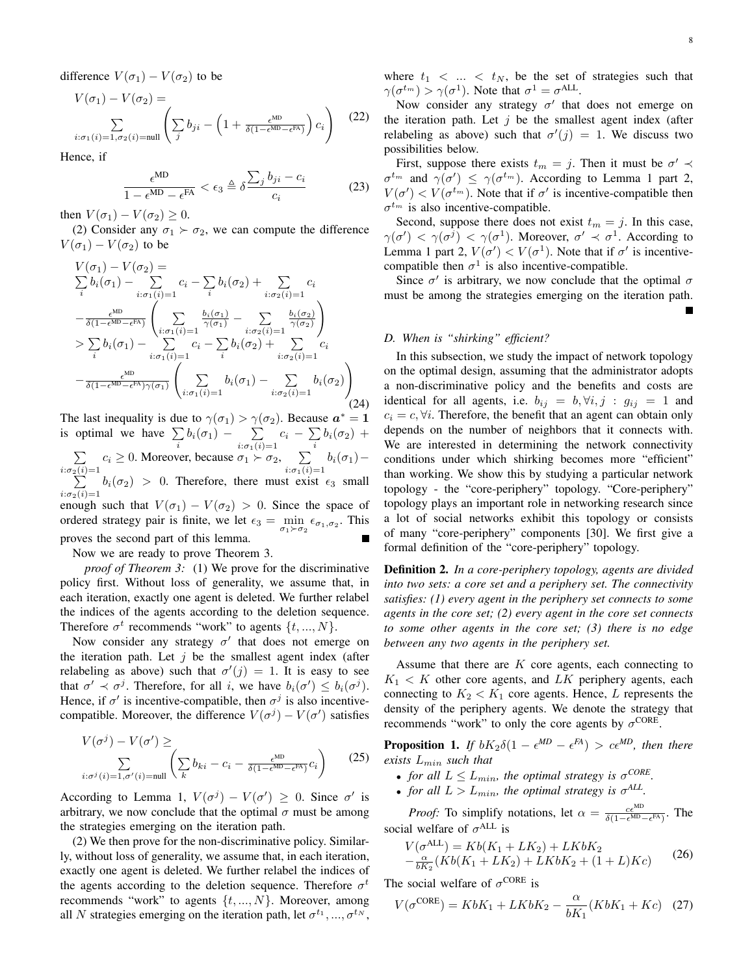difference  $V(\sigma_1) - V(\sigma_2)$  to be

$$
V(\sigma_1) - V(\sigma_2) = \sum_{i:\sigma_1(i)=1,\sigma_2(i)=\text{null}} \left( \sum_j b_{ji} - \left( 1 + \frac{\epsilon^{\text{MD}}}{\delta(1-\epsilon^{\text{MD}}-\epsilon^{\text{FA}})} \right) c_i \right)
$$
(22)

Hence, if

$$
\frac{\epsilon^{\text{MD}}}{1 - \epsilon^{\text{MD}} - \epsilon^{\text{FA}}} < \epsilon_3 \triangleq \delta \frac{\sum_j b_{ji} - c_i}{c_i} \tag{23}
$$

then  $V(\sigma_1) - V(\sigma_2) \geq 0$ .

(2) Consider any  $\sigma_1 \succ \sigma_2$ , we can compute the difference  $V(\sigma_1) - V(\sigma_2)$  to be

$$
V(\sigma_1) - V(\sigma_2) =
$$
  
\n
$$
\sum_{i} b_i(\sigma_1) - \sum_{i:\sigma_1(i)=1} c_i - \sum_{i} b_i(\sigma_2) + \sum_{i:\sigma_2(i)=1} c_i
$$
  
\n
$$
-\frac{\epsilon^{ND}}{\delta(1 - \epsilon^{ND} - \epsilon^{FX})} \left( \sum_{i:\sigma_1(i)=1} \frac{b_i(\sigma_1)}{\gamma(\sigma_1)} - \sum_{i:\sigma_2(i)=1} \frac{b_i(\sigma_2)}{\gamma(\sigma_2)} \right)
$$
  
\n
$$
> \sum_{i} b_i(\sigma_1) - \sum_{i:\sigma_1(i)=1} c_i - \sum_{i} b_i(\sigma_2) + \sum_{i:\sigma_2(i)=1} c_i
$$
  
\n
$$
-\frac{\epsilon^{MD}}{\delta(1 - \epsilon^{MD} - \epsilon^{FX})\gamma(\sigma_1)} \left( \sum_{i:\sigma_1(i)=1} b_i(\sigma_1) - \sum_{i:\sigma_2(i)=1} b_i(\sigma_2) \right)
$$
(24)

The last inequality is due to  $\gamma(\sigma_1) > \gamma(\sigma_2)$ . Because  $a^* = 1$ is optimal we have  $\sum_{i} b_i(\sigma_1) - \sum_{i: \sigma_1(i)}$ *c<sup>i</sup> −* ∑  $\sum_i b_i(\sigma_2)$  +

 $i:\sigma_1(i)=1$ ∑  $i:\sigma_2(i)=1$  $c_i \geq 0$ . Moreover, because  $\sigma_1 \succ \sigma_2$ ,  $\sum$  $i:\sigma_1(i)=1$  $b_i(\sigma_1)$ − ∑  $i:\sigma_2(i)=1$  $b_i(\sigma_2) > 0$ . Therefore, there must exist  $\epsilon_3$  small enough such that  $V(\sigma_1) - V(\sigma_2) > 0$ . Since the space of ordered strategy pair is finite, we let  $\epsilon_3 = \min_{\sigma_1 \succ \sigma_2} \epsilon_{\sigma_1, \sigma_2}$ . This proves the second part of this lemma.

Now we are ready to prove Theorem 3.

*proof of Theorem 3:* (1) We prove for the discriminative policy first. Without loss of generality, we assume that, in each iteration, exactly one agent is deleted. We further relabel the indices of the agents according to the deletion sequence. Therefore  $\sigma^t$  recommends "work" to agents  $\{t, ..., N\}$ .

Now consider any strategy *σ ′* that does not emerge on the iteration path. Let  $j$  be the smallest agent index (after relabeling as above) such that  $\sigma'(j) = 1$ . It is easy to see that  $\sigma' \prec \sigma^j$ . Therefore, for all *i*, we have  $b_i(\sigma') \leq b_i(\sigma^j)$ . Hence, if  $\sigma'$  is incentive-compatible, then  $\sigma^j$  is also incentivecompatible. Moreover, the difference  $V(\sigma^j) - V(\sigma')$  satisfies

$$
V(\sigma^j) - V(\sigma') \ge \sum_{i:\sigma^j(i)=1,\sigma'(i)=\text{null}} \left( \sum_k b_{ki} - c_i - \frac{\epsilon^{\text{MD}}}{\delta(1-\epsilon^{\text{MD}}-\epsilon^{\text{FA}})} c_i \right)
$$
(25)

According to Lemma 1,  $V(\sigma^j) - V(\sigma') \geq 0$ . Since  $\sigma'$  is arbitrary, we now conclude that the optimal  $\sigma$  must be among the strategies emerging on the iteration path.

(2) We then prove for the non-discriminative policy. Similarly, without loss of generality, we assume that, in each iteration, exactly one agent is deleted. We further relabel the indices of the agents according to the deletion sequence. Therefore  $\sigma^t$ recommends "work" to agents *{t, ..., N}*. Moreover, among all *N* strategies emerging on the iteration path, let  $\sigma^{t_1},...,\sigma^{t_N}$ , Г

where  $t_1$  < ... <  $t_N$ , be the set of strategies such that  $\gamma(\sigma^{t_m}) > \gamma(\sigma^1)$ . Note that  $\sigma^1 = \sigma^{ALL}$ .

Now consider any strategy *σ ′* that does not emerge on the iteration path. Let  $j$  be the smallest agent index (after relabeling as above) such that  $\sigma'(j) = 1$ . We discuss two possibilities below.

First, suppose there exists  $t_m = j$ . Then it must be  $\sigma' \prec$  $\sigma^{t_m}$  and  $\gamma(\sigma') \leq \gamma(\sigma^{t_m})$ . According to Lemma 1 part 2,  $V(\sigma') < V(\sigma^{t_m})$ . Note that if  $\sigma'$  is incentive-compatible then  $\sigma^{t_m}$  is also incentive-compatible.

Second, suppose there does not exist  $t_m = j$ . In this case, *γ*(*σ'*)  $\langle \gamma \sigma^j \rangle$   $\langle \gamma \sigma^1 \rangle$ . Moreover,  $\sigma' \prec \sigma^1$ . According to Lemma 1 part 2,  $V(\sigma') < V(\sigma^1)$ . Note that if  $\sigma'$  is incentivecompatible then  $\sigma^1$  is also incentive-compatible.

Since  $\sigma'$  is arbitrary, we now conclude that the optimal  $\sigma$ must be among the strategies emerging on the iteration path.

# *D. When is "shirking" efficient?*

In this subsection, we study the impact of network topology on the optimal design, assuming that the administrator adopts a non-discriminative policy and the benefits and costs are identical for all agents, i.e.  $b_{ij} = b, \forall i, j : g_{ij} = 1$  and  $c_i = c, \forall i$ . Therefore, the benefit that an agent can obtain only depends on the number of neighbors that it connects with. We are interested in determining the network connectivity conditions under which shirking becomes more "efficient" than working. We show this by studying a particular network topology - the "core-periphery" topology. "Core-periphery" topology plays an important role in networking research since a lot of social networks exhibit this topology or consists of many "core-periphery" components [30]. We first give a formal definition of the "core-periphery" topology.

Definition 2. *In a core-periphery topology, agents are divided into two sets: a core set and a periphery set. The connectivity satisfies: (1) every agent in the periphery set connects to some agents in the core set; (2) every agent in the core set connects to some other agents in the core set; (3) there is no edge between any two agents in the periphery set.*

Assume that there are *K* core agents, each connecting to  $K_1 \leq K$  other core agents, and *LK* periphery agents, each connecting to  $K_2 < K_1$  core agents. Hence, *L* represents the density of the periphery agents. We denote the strategy that recommends "work" to only the core agents by  $\sigma^{\text{CORE}}$ .

**Proposition 1.** If  $bK_2\delta(1 - \epsilon^{MD} - \epsilon^{FA}) > c\epsilon^{MD}$ , then there *exists Lmin such that*

- *for all*  $L \le L_{min}$ *, the optimal strategy is*  $\sigma^{CORE}$ *.*
- *for all*  $L > L_{min}$ *, the optimal strategy is*  $\sigma^{ALL}$ *.*

*Proof:* To simplify notations, let  $\alpha = \frac{ce^{MD}}{\delta(1 - e^{MD})}$  $\frac{c\epsilon^{mB}}{\delta(1-\epsilon^{MD}-\epsilon^{FA})}$ . The social welfare of  $\sigma^{\text{ALL}}$  is

$$
V(\sigma^{ALL}) = Kb(K_1 + LK_2) + LKbK_2
$$
  

$$
-\frac{\alpha}{bK_2}(Kb(K_1 + LK_2) + LKbK_2 + (1 + L)Kc)
$$
 (26)

The social welfare of  $\sigma^{\text{CORE}}$  is

$$
V(\sigma^{\text{CORE}}) = KbK_1 + LKbK_2 - \frac{\alpha}{bK_1}(KbK_1 + Kc) \quad (27)
$$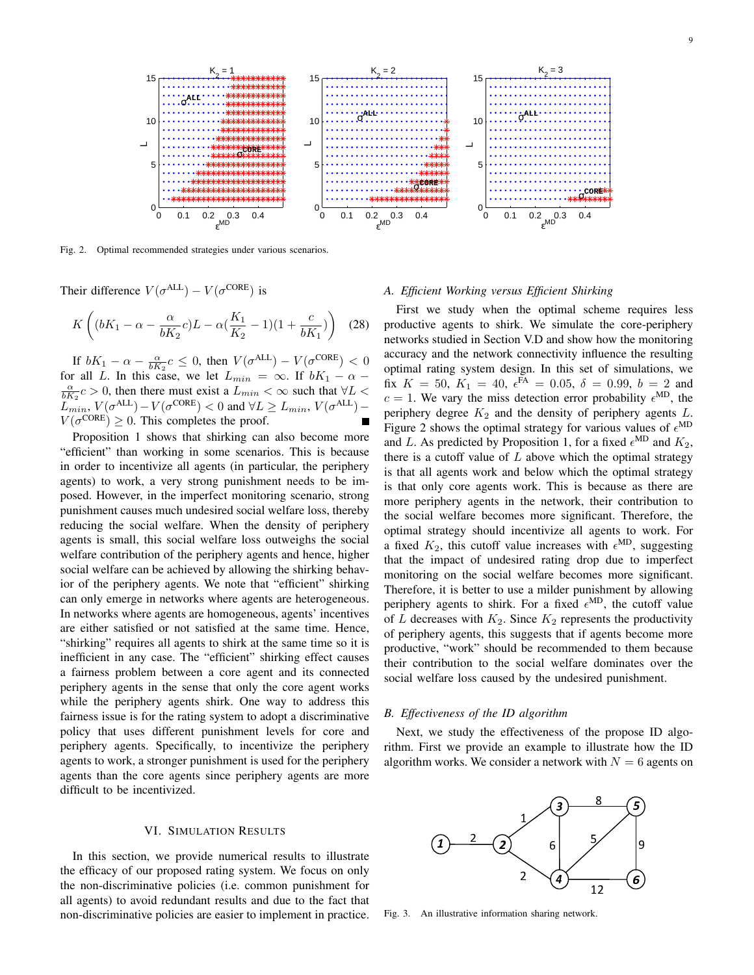

Fig. 2. Optimal recommended strategies under various scenarios.

Their difference  $V(\sigma^{ALL}) - V(\sigma^{CORE})$  is

$$
K\left((bK_1 - \alpha - \frac{\alpha}{bK_2}c)L - \alpha(\frac{K_1}{K_2} - 1)(1 + \frac{c}{bK_1})\right) (28)
$$

If  $bK_1 - \alpha - \frac{\alpha}{bK_2}c \leq 0$ , then  $V(\sigma^{\text{ALL}}) - V(\sigma^{\text{CORE}}) < 0$ for all *L*. In this case, we let  $L_{min} = \infty$ . If  $bK_1 - \alpha$  $\frac{\alpha}{bK_2}c > 0$ , then there must exist a  $L_{min} < \infty$  such that  $\forall L <$  $L_{min}$ ,  $V(\sigma^{\text{ALL}}) - V(\sigma^{\text{CORE}}) < 0$  and  $\forall L \ge L_{min}$ ,  $V(\sigma^{\text{ALL}}) V(\sigma^{\text{CORE}}) \geq 0$ . This completes the proof.

Proposition 1 shows that shirking can also become more "efficient" than working in some scenarios. This is because in order to incentivize all agents (in particular, the periphery agents) to work, a very strong punishment needs to be imposed. However, in the imperfect monitoring scenario, strong punishment causes much undesired social welfare loss, thereby reducing the social welfare. When the density of periphery agents is small, this social welfare loss outweighs the social welfare contribution of the periphery agents and hence, higher social welfare can be achieved by allowing the shirking behavior of the periphery agents. We note that "efficient" shirking can only emerge in networks where agents are heterogeneous. In networks where agents are homogeneous, agents' incentives are either satisfied or not satisfied at the same time. Hence, "shirking" requires all agents to shirk at the same time so it is inefficient in any case. The "efficient" shirking effect causes a fairness problem between a core agent and its connected periphery agents in the sense that only the core agent works while the periphery agents shirk. One way to address this fairness issue is for the rating system to adopt a discriminative policy that uses different punishment levels for core and periphery agents. Specifically, to incentivize the periphery agents to work, a stronger punishment is used for the periphery agents than the core agents since periphery agents are more difficult to be incentivized.

# VI. SIMULATION RESULTS

In this section, we provide numerical results to illustrate the efficacy of our proposed rating system. We focus on only the non-discriminative policies (i.e. common punishment for all agents) to avoid redundant results and due to the fact that non-discriminative policies are easier to implement in practice.

# *A. Efficient Working versus Efficient Shirking*

First we study when the optimal scheme requires less productive agents to shirk. We simulate the core-periphery networks studied in Section V.D and show how the monitoring accuracy and the network connectivity influence the resulting optimal rating system design. In this set of simulations, we fix  $K = 50$ ,  $K_1 = 40$ ,  $\epsilon^{FA} = 0.05$ ,  $\delta = 0.99$ ,  $b = 2$  and  $c = 1$ . We vary the miss detection error probability  $\epsilon^{MD}$ , the periphery degree *K*<sup>2</sup> and the density of periphery agents *L*. Figure 2 shows the optimal strategy for various values of  $\epsilon^{MD}$ and *L*. As predicted by Proposition 1, for a fixed  $\epsilon^{\text{MD}}$  and  $K_2$ , there is a cutoff value of *L* above which the optimal strategy is that all agents work and below which the optimal strategy is that only core agents work. This is because as there are more periphery agents in the network, their contribution to the social welfare becomes more significant. Therefore, the optimal strategy should incentivize all agents to work. For a fixed  $K_2$ , this cutoff value increases with  $\epsilon^{MD}$ , suggesting that the impact of undesired rating drop due to imperfect monitoring on the social welfare becomes more significant. Therefore, it is better to use a milder punishment by allowing periphery agents to shirk. For a fixed  $\epsilon^{\text{MD}}$ , the cutoff value of *L* decreases with  $K_2$ . Since  $K_2$  represents the productivity of periphery agents, this suggests that if agents become more productive, "work" should be recommended to them because their contribution to the social welfare dominates over the social welfare loss caused by the undesired punishment.

#### *B. Effectiveness of the ID algorithm*

Next, we study the effectiveness of the propose ID algorithm. First we provide an example to illustrate how the ID algorithm works. We consider a network with  $N = 6$  agents on



Fig. 3. An illustrative information sharing network.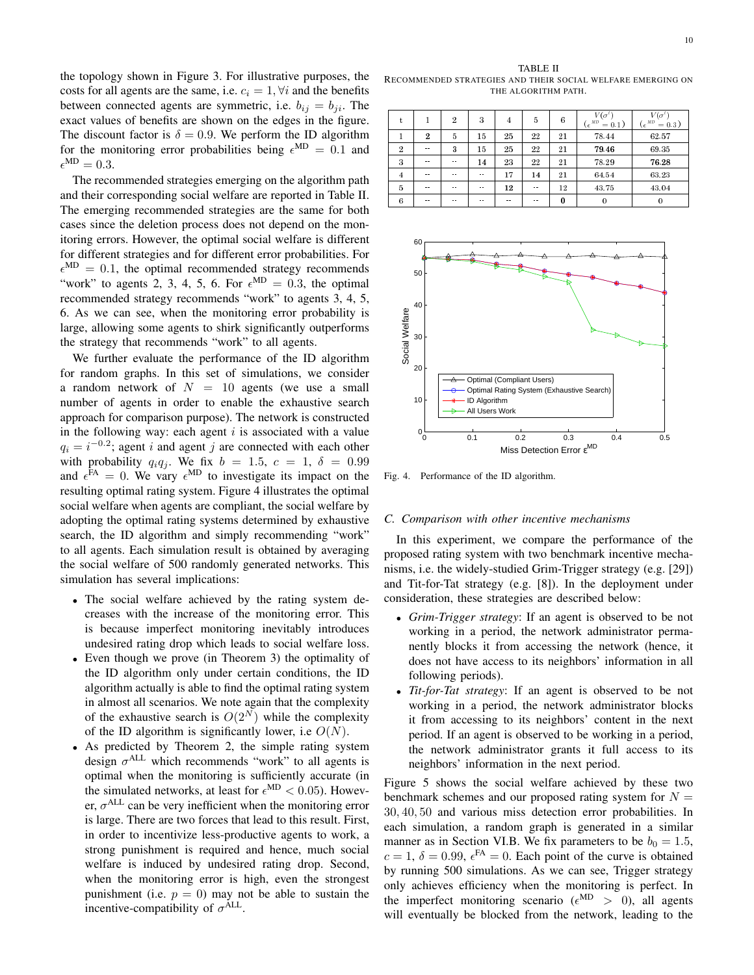the topology shown in Figure 3. For illustrative purposes, the costs for all agents are the same, i.e.  $c_i = 1$ ,  $\forall i$  and the benefits between connected agents are symmetric, i.e.  $b_{ij} = b_{ji}$ . The exact values of benefits are shown on the edges in the figure. The discount factor is  $\delta = 0.9$ . We perform the ID algorithm for the monitoring error probabilities being  $\epsilon^{\text{MD}} = 0.1$  and  $\epsilon^{\text{MD}} = 0.3.$ 

The recommended strategies emerging on the algorithm path and their corresponding social welfare are reported in Table II. The emerging recommended strategies are the same for both cases since the deletion process does not depend on the monitoring errors. However, the optimal social welfare is different for different strategies and for different error probabilities. For  $\epsilon^{\text{MD}} = 0.1$ , the optimal recommended strategy recommends "work" to agents 2, 3, 4, 5, 6. For  $\epsilon^{MD} = 0.3$ , the optimal recommended strategy recommends "work" to agents 3, 4, 5, 6. As we can see, when the monitoring error probability is large, allowing some agents to shirk significantly outperforms the strategy that recommends "work" to all agents.

We further evaluate the performance of the ID algorithm for random graphs. In this set of simulations, we consider a random network of  $N = 10$  agents (we use a small number of agents in order to enable the exhaustive search approach for comparison purpose). The network is constructed in the following way: each agent *i* is associated with a value  $q_i = i^{-0.2}$ ; agent *i* and agent *j* are connected with each other with probability  $q_i q_j$ . We fix  $b = 1.5$ ,  $c = 1$ ,  $\delta = 0.99$ and  $\epsilon^{FA} = 0$ . We vary  $\epsilon^{MD}$  to investigate its impact on the resulting optimal rating system. Figure 4 illustrates the optimal social welfare when agents are compliant, the social welfare by adopting the optimal rating systems determined by exhaustive search, the ID algorithm and simply recommending "work" to all agents. Each simulation result is obtained by averaging the social welfare of 500 randomly generated networks. This simulation has several implications:

- *•* The social welfare achieved by the rating system decreases with the increase of the monitoring error. This is because imperfect monitoring inevitably introduces undesired rating drop which leads to social welfare loss.
- *•* Even though we prove (in Theorem 3) the optimality of the ID algorithm only under certain conditions, the ID algorithm actually is able to find the optimal rating system in almost all scenarios. We note again that the complexity of the exhaustive search is  $O(2^N)$  while the complexity of the ID algorithm is significantly lower, i.e *O*(*N*).
- *•* As predicted by Theorem 2, the simple rating system design  $\sigma^{\text{ALL}}$  which recommends "work" to all agents is optimal when the monitoring is sufficiently accurate (in the simulated networks, at least for  $\epsilon^{\text{MD}} < 0.05$ ). However,  $\sigma$ <sup>ALL</sup> can be very inefficient when the monitoring error is large. There are two forces that lead to this result. First, in order to incentivize less-productive agents to work, a strong punishment is required and hence, much social welfare is induced by undesired rating drop. Second, when the monitoring error is high, even the strongest punishment (i.e.  $p = 0$ ) may not be able to sustain the incentive-compatibility of  $\sigma^{\text{ALL}}$ .

TABLE II RECOMMENDED STRATEGIES AND THEIR SOCIAL WELFARE EMERGING ON THE ALGORITHM PATH.

| t              |                | $\overline{2}$ | 3             | 4    | 5             | 6  | $V(\sigma$<br>$(\epsilon^{AD}$<br>$= 0.1$ ) | $V(\sigma$<br>( $\epsilon^{MD}$<br>$= 0.3$ ) |
|----------------|----------------|----------------|---------------|------|---------------|----|---------------------------------------------|----------------------------------------------|
| 1              | $\overline{2}$ | 5              | 15            | 25   | $^{22}$       | 21 | 78.44                                       | 62.57                                        |
| $\overline{2}$ | $\sim$ $\sim$  | 3              | 15            | 25   | 22            | 21 | 79.46                                       | 69.35                                        |
| 3              | $\sim$ $\sim$  | $\sim$ $\sim$  | 14            | 23   | $^{22}$       | 21 | 78.29                                       | 76.28                                        |
| 4              | $ -$           | $\sim$ $\sim$  | $\sim$ $\sim$ | 17   | 14            | 21 | 64.54                                       | 63.23                                        |
| 5              | $ -$           | $\sim$ $\sim$  | $\sim$ $\sim$ | 12   | $\sim$ $\sim$ | 12 | 43.75                                       | 43.04                                        |
| 6              | $\sim$ $\sim$  | $\sim$ $\sim$  | $\sim$ $\sim$ | $ -$ | $ -$          | 0  | $\bf{0}$                                    | 0                                            |



Fig. 4. Performance of the ID algorithm.

#### *C. Comparison with other incentive mechanisms*

In this experiment, we compare the performance of the proposed rating system with two benchmark incentive mechanisms, i.e. the widely-studied Grim-Trigger strategy (e.g. [29]) and Tit-for-Tat strategy (e.g. [8]). In the deployment under consideration, these strategies are described below:

- *• Grim-Trigger strategy*: If an agent is observed to be not working in a period, the network administrator permanently blocks it from accessing the network (hence, it does not have access to its neighbors' information in all following periods).
- *• Tit-for-Tat strategy*: If an agent is observed to be not working in a period, the network administrator blocks it from accessing to its neighbors' content in the next period. If an agent is observed to be working in a period, the network administrator grants it full access to its neighbors' information in the next period.

Figure 5 shows the social welfare achieved by these two benchmark schemes and our proposed rating system for  $N =$ 30*,* 40*,* 50 and various miss detection error probabilities. In each simulation, a random graph is generated in a similar manner as in Section VI.B. We fix parameters to be  $b_0 = 1.5$ ,  $c = 1$ ,  $\delta = 0.99$ ,  $\epsilon^{FA} = 0$ . Each point of the curve is obtained by running 500 simulations. As we can see, Trigger strategy only achieves efficiency when the monitoring is perfect. In the imperfect monitoring scenario ( $\epsilon^{\text{MD}} > 0$ ), all agents will eventually be blocked from the network, leading to the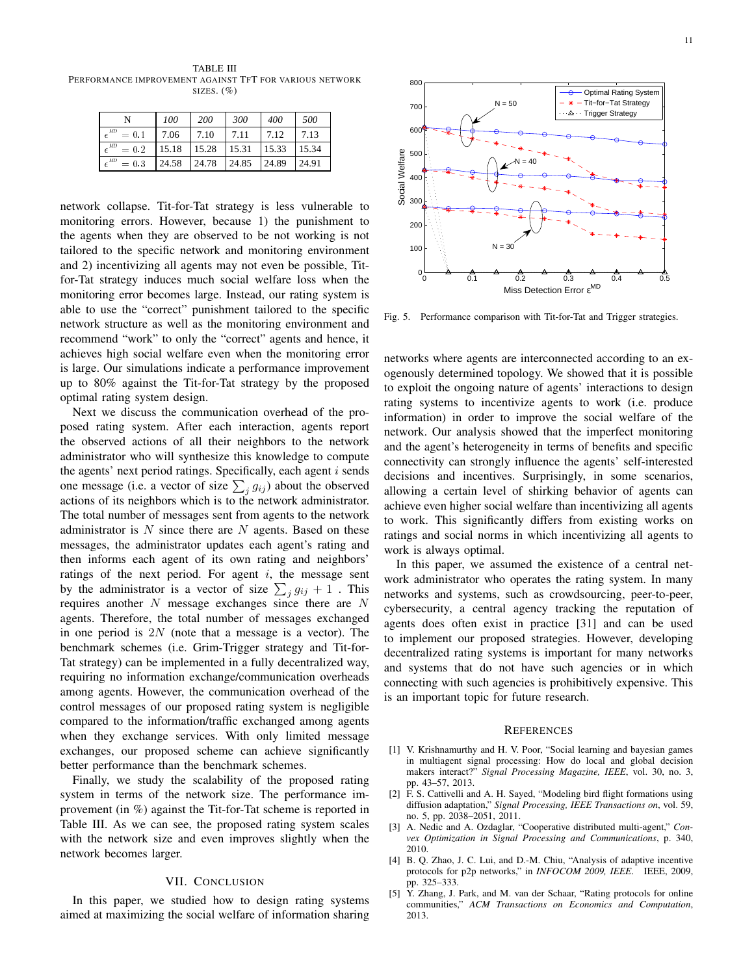TABLE III PERFORMANCE IMPROVEMENT AGAINST TFT FOR VARIOUS NETWORK SIZES.  $(\% )$ 

|                   | 100   | 200   | 300   | 400   | 500   |
|-------------------|-------|-------|-------|-------|-------|
| MD<br>$= 0.1$     | 7.06  | 7.10  | 7.11  | 7.12  | 7.13  |
| $\_MD$<br>$= 0.2$ | 15.18 | 15.28 | 15.31 | 15.33 | 15.34 |
| MD<br>$= 0.3$     | 24.58 | 24.78 | 24.85 | 24.89 | 24.91 |

network collapse. Tit-for-Tat strategy is less vulnerable to monitoring errors. However, because 1) the punishment to the agents when they are observed to be not working is not tailored to the specific network and monitoring environment and 2) incentivizing all agents may not even be possible, Titfor-Tat strategy induces much social welfare loss when the monitoring error becomes large. Instead, our rating system is able to use the "correct" punishment tailored to the specific network structure as well as the monitoring environment and recommend "work" to only the "correct" agents and hence, it achieves high social welfare even when the monitoring error is large. Our simulations indicate a performance improvement up to 80% against the Tit-for-Tat strategy by the proposed optimal rating system design.

Next we discuss the communication overhead of the proposed rating system. After each interaction, agents report the observed actions of all their neighbors to the network administrator who will synthesize this knowledge to compute the agents' next period ratings. Specifically, each agent *i* sends one message (i.e. a vector of size  $\sum_{j} g_{ij}$ ) about the observed actions of its neighbors which is to the network administrator. The total number of messages sent from agents to the network administrator is *N* since there are *N* agents. Based on these messages, the administrator updates each agent's rating and then informs each agent of its own rating and neighbors' ratings of the next period. For agent *i*, the message sent by the administrator is a vector of size  $\sum_{j} g_{ij} + 1$ . This requires another *N* message exchanges since there are *N* agents. Therefore, the total number of messages exchanged in one period is 2*N* (note that a message is a vector). The benchmark schemes (i.e. Grim-Trigger strategy and Tit-for-Tat strategy) can be implemented in a fully decentralized way, requiring no information exchange/communication overheads among agents. However, the communication overhead of the control messages of our proposed rating system is negligible compared to the information/traffic exchanged among agents when they exchange services. With only limited message exchanges, our proposed scheme can achieve significantly better performance than the benchmark schemes.

Finally, we study the scalability of the proposed rating system in terms of the network size. The performance improvement (in %) against the Tit-for-Tat scheme is reported in Table III. As we can see, the proposed rating system scales with the network size and even improves slightly when the network becomes larger.

#### VII. CONCLUSION

In this paper, we studied how to design rating systems aimed at maximizing the social welfare of information sharing



Fig. 5. Performance comparison with Tit-for-Tat and Trigger strategies.

networks where agents are interconnected according to an exogenously determined topology. We showed that it is possible to exploit the ongoing nature of agents' interactions to design rating systems to incentivize agents to work (i.e. produce information) in order to improve the social welfare of the network. Our analysis showed that the imperfect monitoring and the agent's heterogeneity in terms of benefits and specific connectivity can strongly influence the agents' self-interested decisions and incentives. Surprisingly, in some scenarios, allowing a certain level of shirking behavior of agents can achieve even higher social welfare than incentivizing all agents to work. This significantly differs from existing works on ratings and social norms in which incentivizing all agents to work is always optimal.

In this paper, we assumed the existence of a central network administrator who operates the rating system. In many networks and systems, such as crowdsourcing, peer-to-peer, cybersecurity, a central agency tracking the reputation of agents does often exist in practice [31] and can be used to implement our proposed strategies. However, developing decentralized rating systems is important for many networks and systems that do not have such agencies or in which connecting with such agencies is prohibitively expensive. This is an important topic for future research.

#### **REFERENCES**

- [1] V. Krishnamurthy and H. V. Poor, "Social learning and bayesian games in multiagent signal processing: How do local and global decision makers interact?" *Signal Processing Magazine, IEEE*, vol. 30, no. 3, pp. 43–57, 2013.
- [2] F. S. Cattivelli and A. H. Sayed, "Modeling bird flight formations using diffusion adaptation," *Signal Processing, IEEE Transactions on*, vol. 59, no. 5, pp. 2038–2051, 2011.
- [3] A. Nedic and A. Ozdaglar, "Cooperative distributed multi-agent," *Convex Optimization in Signal Processing and Communications*, p. 340, 2010.
- [4] B. Q. Zhao, J. C. Lui, and D.-M. Chiu, "Analysis of adaptive incentive protocols for p2p networks," in *INFOCOM 2009, IEEE*. IEEE, 2009, pp. 325–333.
- [5] Y. Zhang, J. Park, and M. van der Schaar, "Rating protocols for online communities," *ACM Transactions on Economics and Computation*, 2013.